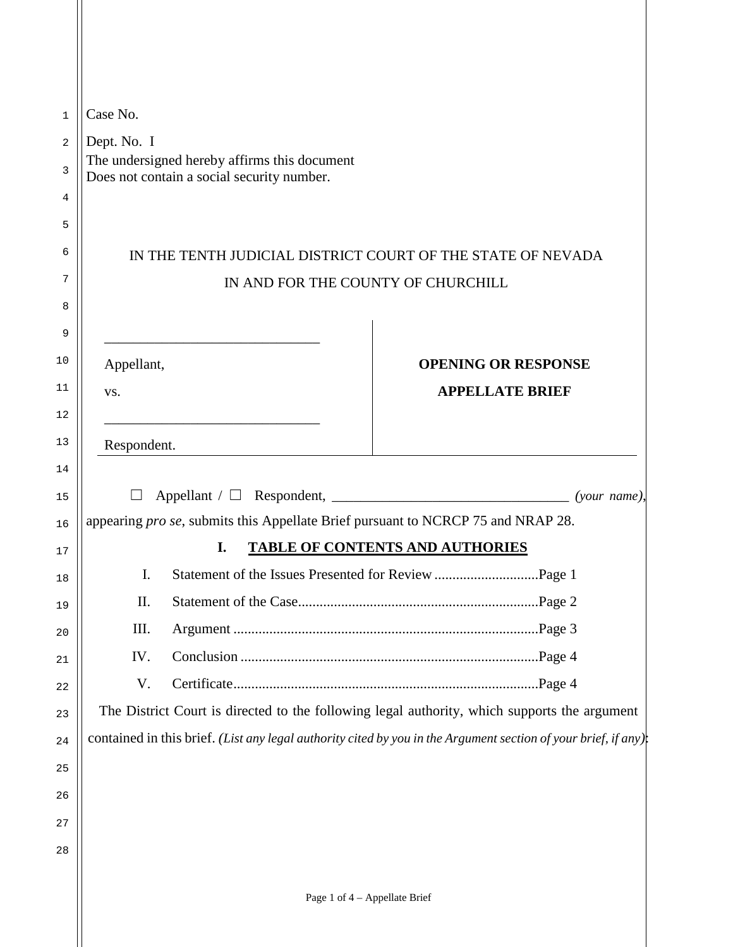|  | Case No.                                                                                   |    |                                                                                                                |  |  |
|--|--------------------------------------------------------------------------------------------|----|----------------------------------------------------------------------------------------------------------------|--|--|
|  | Dept. No. I                                                                                |    |                                                                                                                |  |  |
|  | The undersigned hereby affirms this document<br>Does not contain a social security number. |    |                                                                                                                |  |  |
|  |                                                                                            |    |                                                                                                                |  |  |
|  |                                                                                            |    |                                                                                                                |  |  |
|  | IN THE TENTH JUDICIAL DISTRICT COURT OF THE STATE OF NEVADA                                |    |                                                                                                                |  |  |
|  |                                                                                            |    | IN AND FOR THE COUNTY OF CHURCHILL                                                                             |  |  |
|  |                                                                                            |    |                                                                                                                |  |  |
|  |                                                                                            |    |                                                                                                                |  |  |
|  | Appellant,                                                                                 |    | <b>OPENING OR RESPONSE</b>                                                                                     |  |  |
|  | VS.                                                                                        |    | <b>APPELLATE BRIEF</b>                                                                                         |  |  |
|  |                                                                                            |    |                                                                                                                |  |  |
|  | Respondent.                                                                                |    |                                                                                                                |  |  |
|  | appearing pro se, submits this Appellate Brief pursuant to NCRCP 75 and NRAP 28.           |    |                                                                                                                |  |  |
|  |                                                                                            |    |                                                                                                                |  |  |
|  |                                                                                            |    |                                                                                                                |  |  |
|  |                                                                                            | I. | TABLE OF CONTENTS AND AUTHORIES                                                                                |  |  |
|  | $\mathbf{I}$ .                                                                             |    |                                                                                                                |  |  |
|  | II.                                                                                        |    |                                                                                                                |  |  |
|  | III.                                                                                       |    |                                                                                                                |  |  |
|  | IV.                                                                                        |    |                                                                                                                |  |  |
|  | V.                                                                                         |    |                                                                                                                |  |  |
|  |                                                                                            |    | The District Court is directed to the following legal authority, which supports the argument                   |  |  |
|  |                                                                                            |    | contained in this brief. (List any legal authority cited by you in the Argument section of your brief, if any) |  |  |
|  |                                                                                            |    |                                                                                                                |  |  |
|  |                                                                                            |    |                                                                                                                |  |  |
|  |                                                                                            |    |                                                                                                                |  |  |
|  |                                                                                            |    |                                                                                                                |  |  |
|  |                                                                                            |    | Page 1 of 4 - Appellate Brief                                                                                  |  |  |
|  |                                                                                            |    |                                                                                                                |  |  |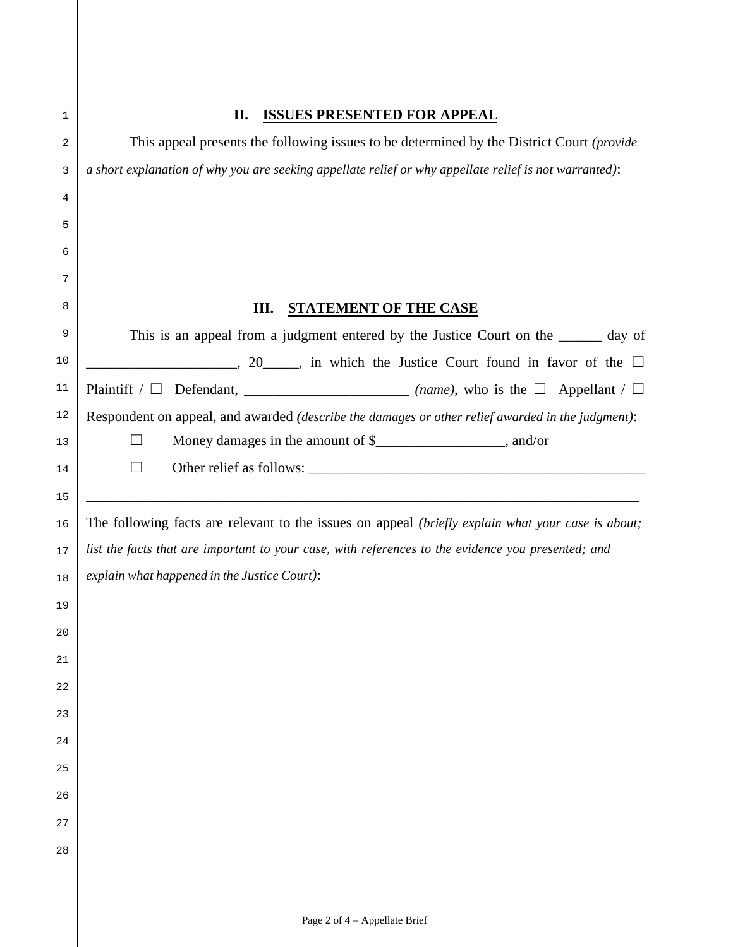| <b>ISSUES PRESENTED FOR APPEAL</b><br>II.                                                              |
|--------------------------------------------------------------------------------------------------------|
| This appeal presents the following issues to be determined by the District Court (provide              |
| a short explanation of why you are seeking appellate relief or why appellate relief is not warranted): |
|                                                                                                        |
|                                                                                                        |
|                                                                                                        |
|                                                                                                        |
| Ш.<br><b>STATEMENT OF THE CASE</b>                                                                     |
| This is an appeal from a judgment entered by the Justice Court on the ______ day of                    |
| $\frac{1}{20}$ , 20 $\frac{1}{20}$ , in which the Justice Court found in favor of the $\Box$           |
|                                                                                                        |
| Respondent on appeal, and awarded (describe the damages or other relief awarded in the judgment):      |
| Money damages in the amount of \$______________________, and/or                                        |
|                                                                                                        |
|                                                                                                        |
| The following facts are relevant to the issues on appeal (briefly explain what your case is about;     |
| list the facts that are important to your case, with references to the evidence you presented; and     |
| explain what happened in the Justice Court):                                                           |
|                                                                                                        |
|                                                                                                        |
|                                                                                                        |
|                                                                                                        |
|                                                                                                        |
|                                                                                                        |
|                                                                                                        |
|                                                                                                        |
|                                                                                                        |
|                                                                                                        |
|                                                                                                        |
|                                                                                                        |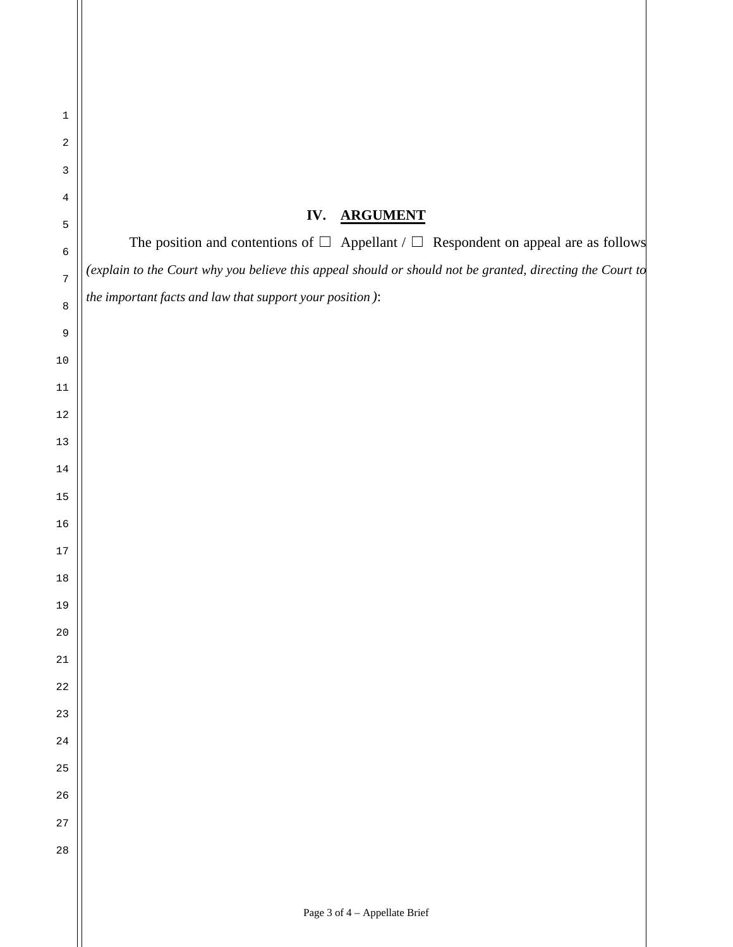| $\mathbf{1}$                   |                                                                                                           |  |
|--------------------------------|-----------------------------------------------------------------------------------------------------------|--|
| $\sqrt{2}$                     |                                                                                                           |  |
| $\mathbf{3}$<br>$\overline{4}$ |                                                                                                           |  |
| 5                              | IV.<br><b>ARGUMENT</b>                                                                                    |  |
| $\epsilon$                     | The position and contentions of $\Box$ Appellant / $\Box$ Respondent on appeal are as follows             |  |
| $\overline{7}$                 | (explain to the Court why you believe this appeal should or should not be granted, directing the Court to |  |
| $\,8\,$                        | the important facts and law that support your position):                                                  |  |
| 9                              |                                                                                                           |  |
| $10$                           |                                                                                                           |  |
| 11                             |                                                                                                           |  |
| $12\,$                         |                                                                                                           |  |
| $13$                           |                                                                                                           |  |
| 14                             |                                                                                                           |  |
| 15                             |                                                                                                           |  |
| 16                             |                                                                                                           |  |
| $17$                           |                                                                                                           |  |
| $18\,$                         |                                                                                                           |  |
| 19                             |                                                                                                           |  |
| $20$                           |                                                                                                           |  |
| 21                             |                                                                                                           |  |
| 22                             |                                                                                                           |  |
| 23                             |                                                                                                           |  |
| 24                             |                                                                                                           |  |
| 25                             |                                                                                                           |  |
| 26                             |                                                                                                           |  |
| 27                             |                                                                                                           |  |
| 28                             |                                                                                                           |  |
|                                |                                                                                                           |  |
|                                | Page 3 of 4 - Appellate Brief                                                                             |  |